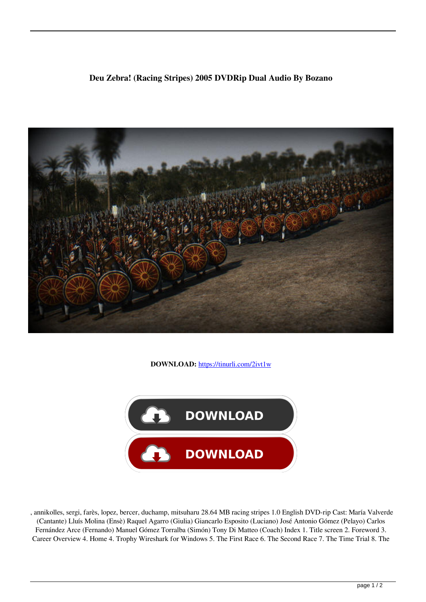## **Deu Zebra! (Racing Stripes) 2005 DVDRip Dual Audio By Bozano**



**DOWNLOAD:** <https://tinurli.com/2ivt1w>



 , annikolles, sergi, farès, lopez, bercer, duchamp, mitsuharu 28.64 MB racing stripes 1.0 English DVD-rip Cast: María Valverde (Cantante) Lluís Molina (Ensè) Raquel Agarro (Giulia) Giancarlo Esposito (Luciano) José Antonio Gómez (Pelayo) Carlos Fernández Arce (Fernando) Manuel Gómez Torralba (Simón) Tony Di Matteo (Coach) Index 1. Title screen 2. Foreword 3. Career Overview 4. Home 4. Trophy Wireshark for Windows 5. The First Race 6. The Second Race 7. The Time Trial 8. The